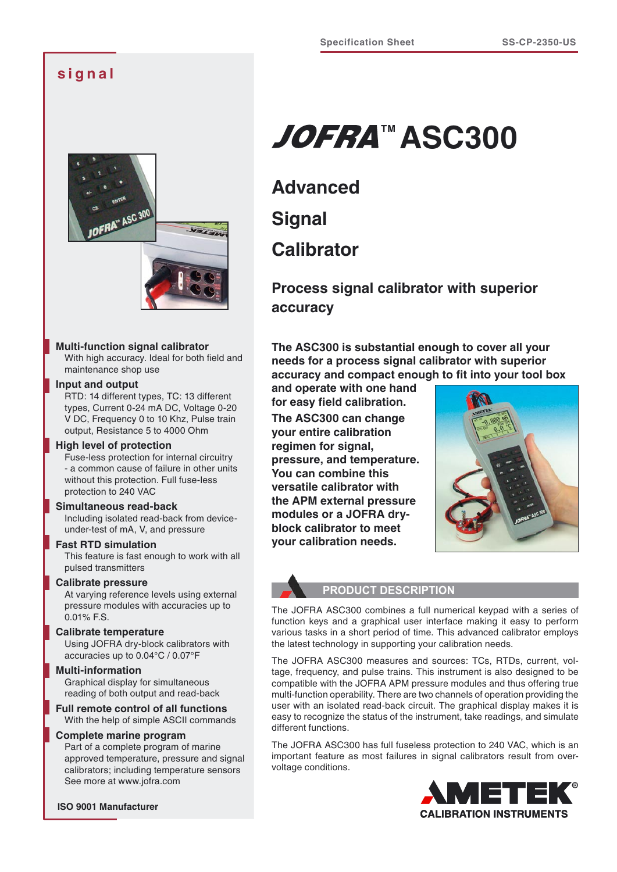# **s i g n a l**



# **Multi-function signal calibrator**

With high accuracy. Ideal for both field and maintenance shop use

# **Input and output**

RTD: 14 different types, TC: 13 different types, Current 0-24 mA DC, Voltage 0-20 V DC, Frequency 0 to 10 Khz, Pulse train output, Resistance 5 to 4000 Ohm

# **High level of protection**

Fuse-less protection for internal circuitry - a common cause of failure in other units without this protection. Full fuse-less protection to 240 VAC

# **Simultaneous read-back**

Including isolated read-back from deviceunder-test of mA, V, and pressure

# **Fast RTD simulation**

This feature is fast enough to work with all pulsed transmitters

# **Calibrate pressure**

At varying reference levels using external pressure modules with accuracies up to 0.01% F.S.

# **Calibrate temperature**

Using JOFRA dry-block calibrators with accuracies up to 0.04°C / 0.07°F

#### **Multi-information**

Graphical display for simultaneous reading of both output and read-back

**Full remote control of all functions** With the help of simple ASCII commands

#### **Complete marine program**

Part of a complete program of marine approved temperature, pressure and signal calibrators; including temperature sensors See more at www.jofra.com

# **JOFRA™ ASC300**

**Advanced Signal Calibrator**

**Process signal calibrator with superior accuracy**

**The ASC300 is substantial enough to cover all your needs for a process signal calibrator with superior accuracy and compact enough to fit into your tool box** 

**and operate with one hand for easy field calibration. The ASC300 can change your entire calibration regimen for signal, pressure, and temperature. You can combine this versatile calibrator with the APM external pressure modules or a JOFRA dryblock calibrator to meet your calibration needs.**



#### **PRODUCT DESCRIPTION**

The JOFRA ASC300 combines a full numerical keypad with a series of function keys and a graphical user interface making it easy to perform various tasks in a short period of time. This advanced calibrator employs the latest technology in supporting your calibration needs.

The JOFRA ASC300 measures and sources: TCs, RTDs, current, voltage, frequency, and pulse trains. This instrument is also designed to be compatible with the JOFRA APM pressure modules and thus offering true multi-function operability. There are two channels of operation providing the user with an isolated read-back circuit. The graphical display makes it is easy to recognize the status of the instrument, take readings, and simulate different functions.

The JOFRA ASC300 has full fuseless protection to 240 VAC, which is an important feature as most failures in signal calibrators result from overvoltage conditions.

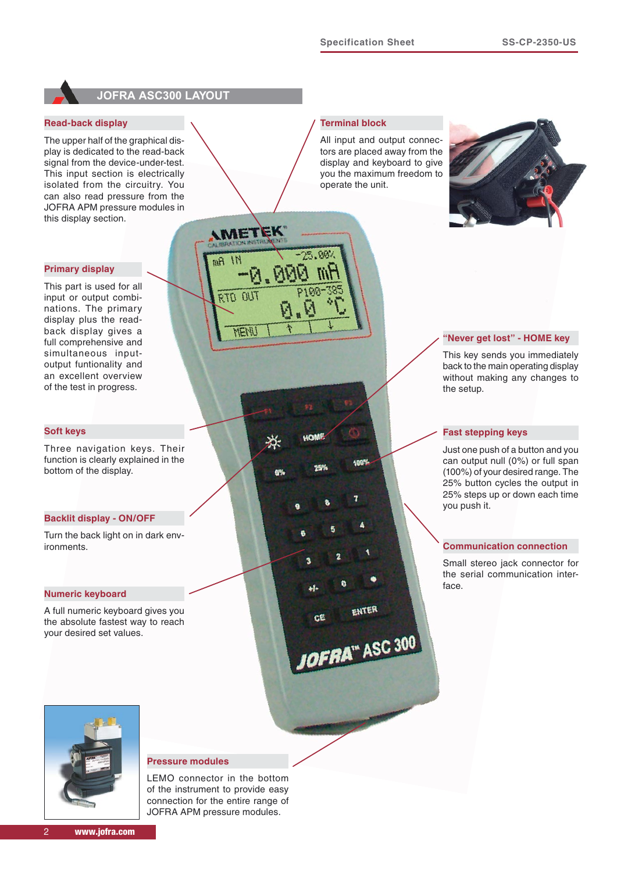

# **JOFRA ASC300 LAYOUT**

**AMETEK** 

 $\overline{M}$ RTD

MFNI

 $11$  Am

# **Read-back display**

The upper half of the graphical display is dedicated to the read-back signal from the device-under-test. This input section is electrically isolated from the circuitry. You can also read pressure from the JOFRA APM pressure modules in this display section.

#### **Primary display**

This part is used for all input or output combinations. The primary display plus the readback display gives a full comprehensive and simultaneous inputoutput funtionality and an excellent overview of the test in progress.

#### **Soft keys**

Three navigation keys. Their function is clearly explained in the bottom of the display.

#### **Backlit display - ON/OFF**

Turn the back light on in dark environments.

#### **Numeric keyboard**

A full numeric keyboard gives you the absolute fastest way to reach your desired set values.



#### **Pressure modules**

LEMO connector in the bottom of the instrument to provide easy connection for the entire range of JOFRA APM pressure modules.

# **Terminal block**

1005

ENTER

JOFRA" ASC 300

 $\mathbf{e}$ 

All input and output connectors are placed away from the display and keyboard to give you the maximum freedom to operate the unit.



# **"Never get lost" - HOME key**

This key sends you immediately back to the main operating display without making any changes to the setup.

#### **Fast stepping keys**

Just one push of a button and you can output null (0%) or full span (100%) of your desired range. The 25% button cycles the output in 25% steps up or down each time you push it.

#### **Communication connection**

Small stereo jack connector for the serial communication interface.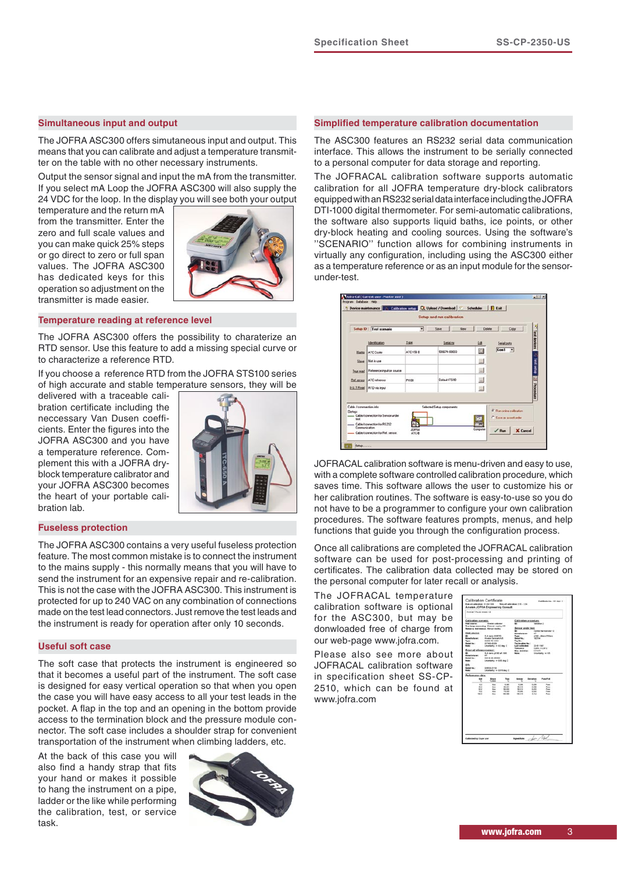#### **Simultaneous input and output**

The JOFRA ASC300 offers simutaneous input and output. This means that you can calibrate and adjust a temperature transmitter on the table with no other necessary instruments.

Output the sensor signal and input the mA from the transmitter. If you select mA Loop the JOFRA ASC300 will also supply the 24 VDC for the loop. In the display you will see both your output

temperature and the return mA from the transmitter. Enter the zero and full scale values and you can make quick 25% steps or go direct to zero or full span values. The JOFRA ASC300 has dedicated keys for this operation so adjustment on the transmitter is made easier.



#### **Temperature reading at reference level**

The JOFRA ASC300 offers the possibility to charaterize an RTD sensor. Use this feature to add a missing special curve or to characterize a reference RTD.

If you choose a reference RTD from the JOFRA STS100 series of high accurate and stable temperature sensors, they will be

delivered with a traceable calibration certificate including the neccessary Van Dusen coefficients. Enter the figures into the JOFRA ASC300 and you have a temperature reference. Complement this with a JOFRA dryblock temperature calibrator and your JOFRA ASC300 becomes the heart of your portable calibration lab.



#### **Fuseless protection**

The JOFRA ASC300 contains a very useful fuseless protection feature. The most common mistake is to connect the instrument to the mains supply - this normally means that you will have to send the instrument for an expensive repair and re-calibration. This is not the case with the JOFRA ASC300. This instrument is protected for up to 240 VAC on any combination of connections made on the test lead connectors. Just remove the test leads and the instrument is ready for operation after only 10 seconds.

#### **Useful soft case**

The soft case that protects the instrument is engineered so that it becomes a useful part of the instrument. The soft case is designed for easy vertical operation so that when you open the case you will have easy access to all your test leads in the pocket. A flap in the top and an opening in the bottom provide access to the termination block and the pressure module connector. The soft case includes a shoulder strap for convenient transportation of the instrument when climbing ladders, etc.

At the back of this case you will also find a handy strap that fits your hand or makes it possible to hang the instrument on a pipe, ladder or the like while performing the calibration, test, or service task.



#### **Simplified temperature calibration documentation**

The ASC300 features an RS232 serial data communication interface. This allows the instrument to be serially connected to a personal computer for data storage and reporting.

The JOFRACAL calibration software supports automatic calibration for all JOFRA temperature dry-block calibrators equipped with an RS232 serial data interface including the JOFRA DTI-1000 digital thermometer. For semi-automatic calibrations, the software also supports liquid baths, ice points, or other dry-block heating and cooling sources. Using the software's ''SCENARIO'' function allows for combining instruments in virtually any configuration, including using the ASC300 either as a temperature reference or as an input module for the sensorunder-test.

|                                            | Setup ID: Test scenario                                                             | ٠         | Save<br>New                | Delete | Copy                                            |
|--------------------------------------------|-------------------------------------------------------------------------------------|-----------|----------------------------|--------|-------------------------------------------------|
|                                            | Identification                                                                      | Type      | Senial no                  | Edi    | Serial ports                                    |
| Master                                     | ATC Cooler                                                                          | ATC-156 B | 509674-00003               | o      | Com1 =                                          |
| Slave                                      | Not in use                                                                          |           |                            | $\Box$ |                                                 |
| True read                                  | Reference input on source                                                           |           |                            | 国      |                                                 |
|                                            | Ref sensor ATC refsensor                                                            | P1100     | Default (TS90)             | u      |                                                 |
|                                            | <b>D.U.T Read   RTD via input</b>                                                   |           |                            | 里      |                                                 |
| Cable / connection info:<br>Setup:<br>test | - Cable/connection for Sensor under<br>Cable/connection for RS232<br>Communication. |           | Selected Setup components: |        | F Run orine calbration<br>C Save as a workerder |

JOFRACAL calibration software is menu-driven and easy to use, with a complete software controlled calibration procedure, which saves time. This software allows the user to customize his or her calibration routines. The software is easy-to-use so you do not have to be a programmer to configure your own calibration procedures. The software features prompts, menus, and help functions that guide you through the configuration process.

Once all calibrations are completed the JOFRACAL calibration software can be used for post-processing and printing of certificates. The calibration data collected may be stored on the personal computer for later recall or analysis.

The JOFRACAL temperature calibration software is optional for the ASC300, but may be donwloaded free of charge from our web-page www.jofra.com.

Please also see more about JOFRACAL calibration software in specification sheet SS-CP-2510, which can be found at www.jofra.com

| AmeCall FALLS renow 1.8                                                                                                                                                                                  |                                                                                                                                                                                                                                                                                                                                                   |                                                       |                                                                                                                                                                   |                                                                                                             |                                                                                                        |
|----------------------------------------------------------------------------------------------------------------------------------------------------------------------------------------------------------|---------------------------------------------------------------------------------------------------------------------------------------------------------------------------------------------------------------------------------------------------------------------------------------------------------------------------------------------------|-------------------------------------------------------|-------------------------------------------------------------------------------------------------------------------------------------------------------------------|-------------------------------------------------------------------------------------------------------------|--------------------------------------------------------------------------------------------------------|
| Californian sennator<br>Heat source:<br><b>HARLMOUTE</b><br>Ware/school:<br><b>Tax</b><br><b>Kentud No. 1</b><br><b>Notice:</b><br>Estachad radio<br><b>Manufacturer:</b><br>Senior No. 1<br><b>MAGE</b> | Analyti calibrator<br>True being, expectating: External resid by OT-<br>Remote in find measure. Married machine<br><b>SLA dans \$500 KB</b><br>Analak Denmark Adi<br>shout me conv<br>DETAIL DESIGN<br>Uncertanty, st & 2 deg. C.<br>Le service.<br>SLA dance of 190 (w) - 500<br>$\frac{1}{2}$<br>04124-04-002013<br>Uncertanty, so Edit deg. C. |                                                       | ۰<br>۰<br><b>Mandacture:</b><br><b>Tuesday</b><br>Senior No. 1<br>Tag No.<br>Tag location No.  <br>Last calibrated<br>Tokesman<br>Max. deviation:<br><b>Male:</b> | Californitari procedure:<br><b>UNANANIA</b> 2<br>Sensor sender test.<br>ir.<br>182754<br>2345-180<br>G.HAYO | Control Rentworker 12<br>unidade - chelastas Philippines<br>120914-010<br><b>Uncertainty with B.B.</b> |
| <b>DTL</b><br><b>Sund by /</b><br><b>Notice</b>                                                                                                                                                          | 009024-01104<br><b>Jonatenty</b> at 6.916 aug. C                                                                                                                                                                                                                                                                                                  |                                                       |                                                                                                                                                                   |                                                                                                             |                                                                                                        |
| Packermance data:<br>Set<br>×                                                                                                                                                                            | <b>Days</b><br><b>Void</b>                                                                                                                                                                                                                                                                                                                        |                                                       | <b>Sensar</b>                                                                                                                                                     | <b>Deviation</b>                                                                                            | Punctick                                                                                               |
| 48<br>96.8<br>60.0<br><b>Hill</b><br>sa a                                                                                                                                                                | mas.<br><br>max.<br>the c<br>m.                                                                                                                                                                                                                                                                                                                   | 6.560<br><b>DE AUX</b><br><b>NAME</b><br>15,650<br>-- | 6.096<br><b>MAN</b><br><b>MAIL</b><br><b>P6.0408</b><br>636.218                                                                                                   | 0.500<br>1.106<br>0,550<br>6,000<br>3.194                                                                   | Paint.<br><b>Kent</b><br>Pass.<br>Page 1<br><b>Farm</b>                                                |
|                                                                                                                                                                                                          |                                                                                                                                                                                                                                                                                                                                                   |                                                       |                                                                                                                                                                   |                                                                                                             |                                                                                                        |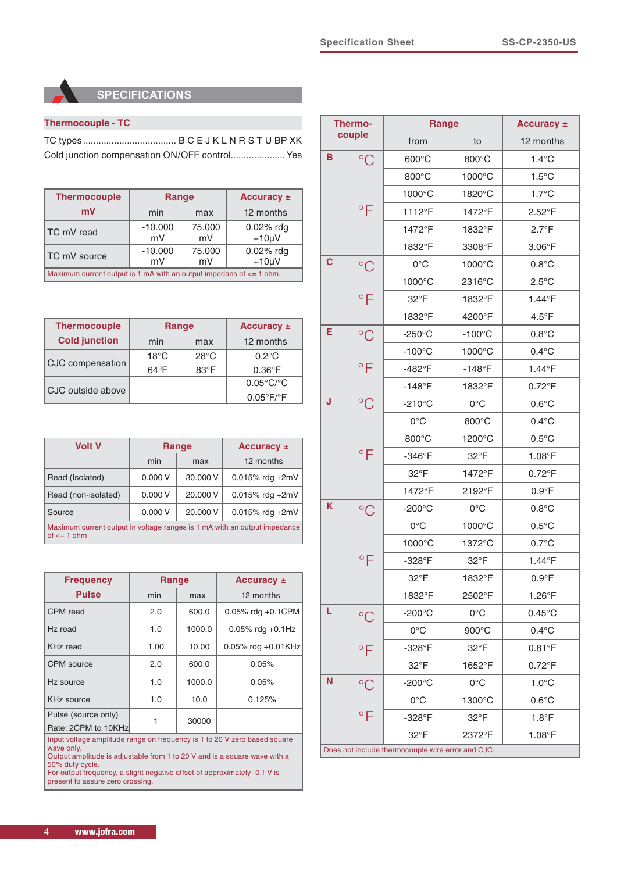# **SPECIFICATIONS**

# **Thermocouple - TC**

TC types.................................... B C E J K L N R S T U BP XK Cold junction compensation ON/OFF control.....................Yes

| <b>Thermocouple</b>                                                     |                 | Range        | Accuracy ±                  |  |
|-------------------------------------------------------------------------|-----------------|--------------|-----------------------------|--|
| mV                                                                      | min             | max          | 12 months                   |  |
| TC mV read                                                              | $-10.000$<br>mV | 75,000<br>mV | $0.02\%$ rdg<br>$+10 \mu V$ |  |
| TC mV source                                                            | $-10.000$<br>mV | 75,000<br>mV | 0.02% rdg<br>$+10 \mu V$    |  |
| Maximum current output is 1 mA with an output impedans of $\leq$ 1 ohm. |                 |              |                             |  |

| <b>Thermocouple</b>  |                | Range          | Accuracy $\pm$                 |
|----------------------|----------------|----------------|--------------------------------|
| <b>Cold junction</b> | min            | max            | 12 months                      |
|                      | $18^{\circ}$ C | $28^{\circ}$ C | $0.2^{\circ}$ C                |
| CJC compensation     | $64^{\circ}F$  | $83^{\circ}$ F | $0.36^{\circ}$ F               |
|                      |                |                | $0.05^{\circ}$ C/ $^{\circ}$ C |
| CJC outside above    |                |                | $0.05^{\circ}F/{}^{\circ}F$    |

| <b>Volt V</b>                                                                                  |        | <b>Range</b> | <b>Accuracy ±</b>  |  |
|------------------------------------------------------------------------------------------------|--------|--------------|--------------------|--|
|                                                                                                | min    | max          | 12 months          |  |
| Read (Isolated)                                                                                | 0.000V | 30,000 V     | $0.015\%$ rdg +2mV |  |
| Read (non-isolated)                                                                            | 0.000V | 20,000 V     | $0.015\%$ rdg +2mV |  |
| Source                                                                                         | 0.000V | 20,000 V     | $0.015\%$ rdg +2mV |  |
| Maximum current output in voltage ranges is 1 mA with an output impedance<br>of $\leq$ = 1 ohm |        |              |                    |  |

| <b>Frequency</b>                                                                                                                                                                        | Range |        | Accuracy $\pm$        |  |  |
|-----------------------------------------------------------------------------------------------------------------------------------------------------------------------------------------|-------|--------|-----------------------|--|--|
| <b>Pulse</b>                                                                                                                                                                            | min   | max    | 12 months             |  |  |
| CPM read                                                                                                                                                                                | 2.0   | 600.0  | 0.05% rdg $+0.1$ CPM  |  |  |
| Hz read                                                                                                                                                                                 | 1.0   | 1000.0 | $0.05\%$ rdg +0.1Hz   |  |  |
| KH <sub>z</sub> read                                                                                                                                                                    | 1.00  | 10.00  | 0.05% rdg $+0.01$ KHz |  |  |
| CPM source                                                                                                                                                                              | 2.0   | 600.0  | 0.05%                 |  |  |
| Hz source                                                                                                                                                                               | 1.0   | 1000.0 | 0.05%                 |  |  |
| KHz source                                                                                                                                                                              | 1.0   | 10.0   | 0.125%                |  |  |
| Pulse (source only)                                                                                                                                                                     |       |        |                       |  |  |
| 1<br>30000<br>Rate: 2CPM to 10KHz                                                                                                                                                       |       |        |                       |  |  |
| Input voltage amplitude range on frequency is 1 to 20 V zero based square<br>wave only.<br>Output amplitude is adjustable from 1 to 20 V and is a square wave with a<br>50% duty cycle. |       |        |                       |  |  |
| For output frequency, a slight negative offset of approximately -0.1 V is<br>present to assure zero crossing.                                                                           |       |        |                       |  |  |

| Thermo-                                           |                    | <b>Range</b>     |                  | Accuracy $\pm$   |  |  |
|---------------------------------------------------|--------------------|------------------|------------------|------------------|--|--|
|                                                   | couple             | from             | to               | 12 months        |  |  |
| B                                                 | $^{\circ}C$        | 600°C            | 800°C            | $1.4^{\circ}$ C  |  |  |
|                                                   |                    | 800°C            | 1000°C           | $1.5^{\circ}$ C  |  |  |
|                                                   |                    | 1000°C           | 1820°C           | $1.7^{\circ}$ C  |  |  |
|                                                   | $\circ$ F          | 1112°F           | 1472°F           | $2.52^{\circ}$ F |  |  |
|                                                   |                    | 1472°F           | 1832°F           | $2.7^{\circ}F$   |  |  |
|                                                   |                    | 1832°F           | 3308°F           | $3.06^{\circ}$ F |  |  |
| C                                                 | $\rm ^{\circ}C$    | $0^{\circ}$ C    | 1000°C           | $0.8^{\circ}$ C  |  |  |
|                                                   |                    | 1000°C           | 2316°C           | $2.5^{\circ}$ C  |  |  |
|                                                   | $\circ$ F          | $32^{\circ}F$    | 1832°F           | $1.44^{\circ}F$  |  |  |
|                                                   |                    | 1832°F           | 4200°F           | $4.5^{\circ}$ F  |  |  |
| Е                                                 | $^{\circ}C$        | $-250^{\circ}$ C | $-100^{\circ}$ C | $0.8^{\circ}$ C  |  |  |
|                                                   |                    | $-100^{\circ}$ C | 1000°C           | $0.4^{\circ}$ C  |  |  |
|                                                   | $\circ$ F          | $-482^{\circ}F$  | $-148$ °F        | $1.44^{\circ}F$  |  |  |
|                                                   |                    | $-148$ °F        | 1832°F           | $0.72^{\circ}F$  |  |  |
| J                                                 | $^{\circ}C$        | $-210^{\circ}$ C | $0^{\circ}$ C    | $0.6^{\circ}$ C  |  |  |
|                                                   |                    | $0^{\circ}$ C    | 800°C            | $0.4^{\circ}$ C  |  |  |
|                                                   |                    | 800°C            | 1200°C           | $0.5^{\circ}$ C  |  |  |
|                                                   | $\circ$ F          | $-346^{\circ}$ F | $32^{\circ}$ F   | $1.08^{\circ}F$  |  |  |
|                                                   |                    | $32^{\circ}$ F   | 1472°F           | $0.72^{\circ}$ F |  |  |
|                                                   |                    | 1472°F           | 2192°F           | $0.9^{\circ}F$   |  |  |
| Κ                                                 | $^{\circ}C$        | $-200^{\circ}$ C | $0^{\circ}$ C    | $0.8^{\circ}$ C  |  |  |
|                                                   |                    | $0^{\circ}$ C    | 1000°C           | $0.5^{\circ}$ C  |  |  |
|                                                   |                    | 1000°C           | 1372°C           | $0.7^{\circ}$ C  |  |  |
|                                                   | $\circ \mathsf{F}$ | $-328$ °F        | 32°F             | $1.44^{\circ}F$  |  |  |
|                                                   |                    | $32^{\circ}F$    | 1832°F           | $0.9^{\circ}F$   |  |  |
|                                                   |                    | 1832°F           | 2502°F           | $1.26^{\circ}F$  |  |  |
| L                                                 | $\rm ^{\circ}C$    | $-200^{\circ}$ C | $0^{\circ}$ C    | $0.45^{\circ}$ C |  |  |
|                                                   |                    | $0^{\circ}$ C    | 900°C            | $0.4^{\circ}$ C  |  |  |
|                                                   | $\circ$ F          | $-328$ °F        | $32^{\circ}F$    | $0.81^{\circ}$ F |  |  |
|                                                   |                    | $32^{\circ}$ F   | 1652°F           | $0.72^{\circ}F$  |  |  |
| N                                                 | $\rm ^{\circ}C$    | $-200^{\circ}$ C | $0^{\circ}$ C    | $1.0^{\circ}$ C  |  |  |
|                                                   |                    | $0^{\circ}$ C    | 1300°C           | $0.6^{\circ}$ C  |  |  |
|                                                   | $\circ \vDash$     | $-328$ °F        | $32^{\circ}$ F   | $1.8^{\circ}$ F  |  |  |
|                                                   |                    | $32^{\circ}$ F   | 2372°F           | $1.08^{\circ}F$  |  |  |
| Does not include thermocouple wire error and CJC. |                    |                  |                  |                  |  |  |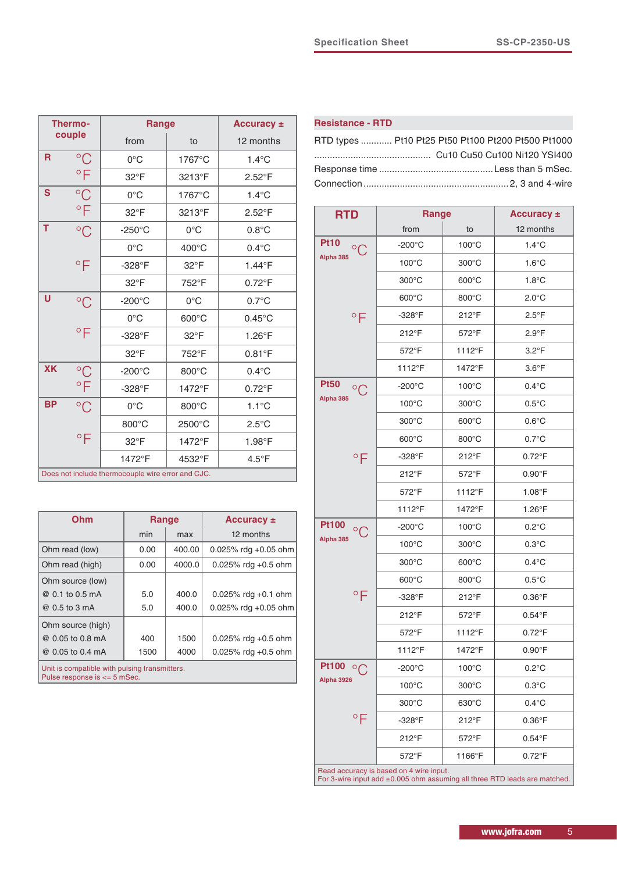|                                                   | Thermo-                         | Range            |                | Accuracy $\pm$   |  |
|---------------------------------------------------|---------------------------------|------------------|----------------|------------------|--|
|                                                   | couple                          | from             | to             | 12 months        |  |
| R                                                 | $^{\circ}C$                     | $0^{\circ}$ C    | 1767°C         | $1.4^{\circ}$ C  |  |
|                                                   | $\mathbin{{}^\circ} \mathsf{F}$ | 32°F             | 3213°F         | $2.52^{\circ}$ F |  |
| S                                                 | $^{\circ}C$                     | $0^{\circ}$ C    | 1767°C         | $1.4^{\circ}$ C  |  |
|                                                   | $\circ$ F                       | 32°F             | 3213°F         | $2.52^{\circ}$ F |  |
| T                                                 | $^{\circ}C$                     | $-250^{\circ}$ C | $0^{\circ}$ C  | $0.8^{\circ}$ C  |  |
|                                                   |                                 | $0^{\circ}$ C    | 400°C          | $0.4^{\circ}$ C  |  |
|                                                   | $\circ \mathsf{F}$              | $-328$ °F        | $32^{\circ}$ F | 1.44°F           |  |
|                                                   |                                 | 32°F             | 752°F          | $0.72^{\circ}$ F |  |
| U                                                 | $^{\circ}C$                     | $-200^{\circ}$ C | $0^{\circ}$ C  | $0.7^{\circ}$ C  |  |
|                                                   |                                 | $0^{\circ}$ C    | 600°C          | $0.45^{\circ}$ C |  |
|                                                   | $\mathsf{P}$                    | $-328$ °F        | 32°F           | 1.26°F           |  |
|                                                   |                                 | 32°F             | 752°F          | $0.81^{\circ}$ F |  |
| <b>XK</b>                                         | $\rm ^{\circ}C$                 | $-200^{\circ}$ C | 800°C          | $0.4^{\circ}$ C  |  |
|                                                   | $\circ$ F                       | -328°F           | 1472°F         | $0.72^{\circ}$ F |  |
| <b>BP</b>                                         | $^{\circ}C$                     | $0^{\circ}$ C    | 800°C          | $1.1^{\circ}$ C  |  |
|                                                   |                                 | 800°C            | 2500°C         | $2.5^{\circ}$ C  |  |
|                                                   | $\overline{P}$                  | 32°F             | 1472°F         | 1.98°F           |  |
|                                                   |                                 | 1472°F           | 4532°F         | $4.5^{\circ}$ F  |  |
| Does not include thermocouple wire error and CJC. |                                 |                  |                |                  |  |

| Ohm                                                                           | <b>Range</b> |        | Accuracy $\pm$          |  |  |
|-------------------------------------------------------------------------------|--------------|--------|-------------------------|--|--|
|                                                                               | min          | max    | 12 months               |  |  |
| Ohm read (low)                                                                | 0.00         | 400.00 | $0.025\%$ rdg +0.05 ohm |  |  |
| Ohm read (high)                                                               | 0.00         | 4000.0 | $0.025\%$ rdg +0.5 ohm  |  |  |
| Ohm source (low)                                                              |              |        |                         |  |  |
| @ 0.1 to 0.5 mA                                                               | 5.0          | 400.0  | $0.025\%$ rdg +0.1 ohm  |  |  |
| @ 0.5 to 3 mA                                                                 | 5.0          | 400.0  | 0.025% rdg +0.05 ohm    |  |  |
| Ohm source (high)                                                             |              |        |                         |  |  |
| @ 0.05 to 0.8 mA                                                              | 400          | 1500   | 0.025% rdg $+0.5$ ohm   |  |  |
| @ 0.05 to 0.4 mA                                                              | 1500         | 4000   | 0.025% rdg $+0.5$ ohm   |  |  |
| Unit is compatible with pulsing transmitters.<br>Pulse response is <= 5 mSec. |              |        |                         |  |  |

# **Resistance - RTD**

| RTD types  Pt10 Pt25 Pt50 Pt100 Pt200 Pt500 Pt1000 |  |
|----------------------------------------------------|--|
|                                                    |  |
|                                                    |  |
|                                                    |  |

| <b>RTD</b>                     | <b>Range</b>                            |                 | Accuracy ±                                                                |
|--------------------------------|-----------------------------------------|-----------------|---------------------------------------------------------------------------|
|                                | from                                    | to              | 12 months                                                                 |
| <b>Pt10</b><br>$\rm ^{\circ}C$ | $-200^{\circ}$ C                        | $100^{\circ}$ C | $1.4^{\circ}$ C                                                           |
| Alpha 385                      | $100^{\circ}$ C                         | 300°C           | $1.6^{\circ}$ C                                                           |
|                                | $300^{\circ}$ C                         | $600^{\circ}$ C | $1.8^{\circ}$ C                                                           |
|                                | 600°C                                   | 800°C           | $2.0^{\circ}$ C                                                           |
| $\circ$ F                      | -328°F                                  | 212°F           | $2.5^{\circ}$ F                                                           |
|                                | 212°F                                   | 572°F           | $2.9^{\circ}F$                                                            |
|                                | 572°F                                   | 1112°F          | $3.2^{\circ}$ F                                                           |
|                                | 1112°F                                  | 1472°F          | $3.6^{\circ}$ F                                                           |
| <b>Pt50</b><br>$\circ$         | $-200^{\circ}$ C                        | $100^{\circ}$ C | $0.4^{\circ}$ C                                                           |
| Alpha 385                      | $100^{\circ}$ C                         | $300^{\circ}$ C | $0.5^{\circ}$ C                                                           |
|                                | $300^{\circ}$ C                         | 600°C           | $0.6^{\circ}$ C                                                           |
|                                | $600^{\circ}$ C                         | 800°C           | $0.7^{\circ}$ C                                                           |
| $\circ$ F                      | -328°F                                  | 212°F           | $0.72^{\circ}$ F                                                          |
|                                | 212°F                                   | 572°F           | $0.90^{\circ}$ F                                                          |
|                                | 572°F                                   | 1112°F          | $1.08^{\circ}F$                                                           |
|                                | 1112°F                                  | 1472°F          | $1.26^{\circ}F$                                                           |
| <b>Pt100</b><br>$\circ$ C      | $-200^{\circ}$ C                        | $100^{\circ}$ C | $0.2^{\circ}$ C                                                           |
| Alpha 385                      | $100^{\circ}$ C                         | $300^{\circ}$ C | $0.3^{\circ}$ C                                                           |
|                                | $300^{\circ}$ C                         | $600^{\circ}$ C | $0.4^{\circ}$ C                                                           |
|                                | $600^{\circ}$ C                         | 800°C           | $0.5^{\circ}$ C                                                           |
| $\circ$ F                      | $-328$ °F                               | 212°F           | $0.36^{\circ}$ F                                                          |
|                                | 212°F                                   | 572°F           | $0.54^{\circ}$ F                                                          |
|                                | 572°F                                   | 1112°F          | $0.72^{\circ}F$                                                           |
|                                | 1112°F                                  | 1472°F          | $0.90^\circ F$                                                            |
| <b>Pt100</b><br>$\circ \cap$   | $-200^{\circ}$ C                        | $100^{\circ}$ C | $0.2^{\circ}$ C                                                           |
| <b>Alpha 3926</b>              | $100^{\circ}$ C                         | $300^{\circ}$ C | $0.3^{\circ}$ C                                                           |
|                                | $300^{\circ}$ C                         | 630°C           | $0.4^{\circ}$ C                                                           |
| $\circ$ F                      | -328°F                                  | 212°F           | $0.36^{\circ}$ F                                                          |
|                                | 212°F                                   | 572°F           | $0.54^{\circ}$ F                                                          |
|                                | 572°F                                   | 1166°F          | $0.72^{\circ}$ F                                                          |
|                                | Read accuracy is based on 4 wire input. |                 | For 3-wire input add ±0.005 ohm assuming all three RTD leads are matched. |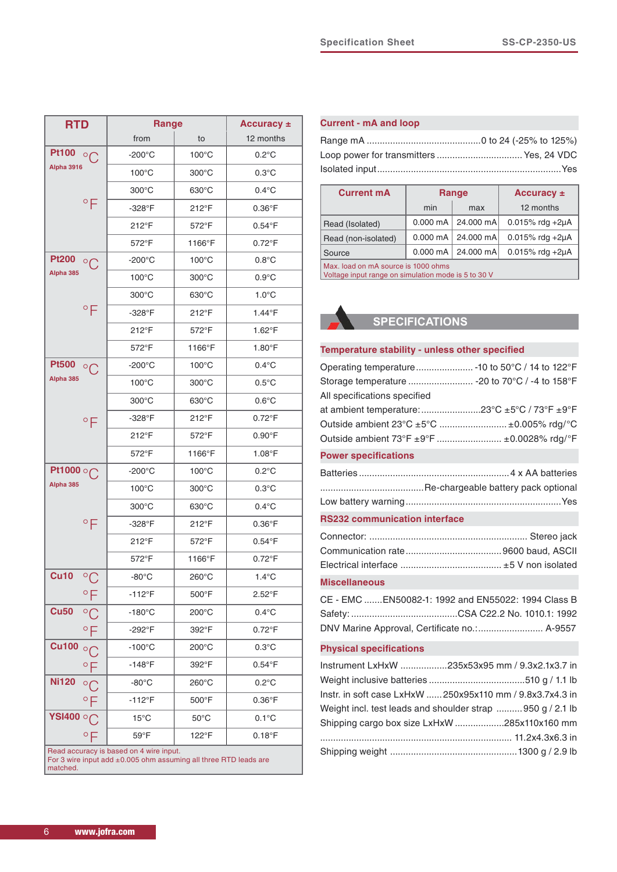| <b>RTD</b>                                                                                                  |                    | <b>Range</b>     |                 | Accuracy ±       |  |
|-------------------------------------------------------------------------------------------------------------|--------------------|------------------|-----------------|------------------|--|
|                                                                                                             |                    | from             | to              | 12 months        |  |
| <b>Pt100</b><br>$^{\circ}$                                                                                  |                    | -200°C           | $100^{\circ}$ C | $0.2^{\circ}$ C  |  |
| <b>Alpha 3916</b>                                                                                           |                    | $100^{\circ}$ C  | $300^{\circ}$ C | $0.3^{\circ}$ C  |  |
|                                                                                                             |                    | $300^{\circ}$ C  | $630^{\circ}$ C | $0.4^{\circ}$ C  |  |
|                                                                                                             | $\circ$ F          | $-328$ °F        | 212°F           | $0.36^{\circ}$ F |  |
|                                                                                                             |                    | 212°F            | 572°F           | $0.54^{\circ}$ F |  |
|                                                                                                             |                    | 572°F            | 1166°F          | $0.72^{\circ}$ F |  |
| <b>Pt200</b>                                                                                                | $^{\circ}C$        | $-200^{\circ}$ C | $100^{\circ}$ C | $0.8^{\circ}$ C  |  |
| Alpha 385                                                                                                   |                    | $100^{\circ}$ C  | $300^{\circ}$ C | $0.9^{\circ}$ C  |  |
|                                                                                                             |                    | $300^{\circ}$ C  | $630^{\circ}$ C | $1.0^{\circ}$ C  |  |
|                                                                                                             | $\circ \mathsf{F}$ | $-328$ °F        | 212°F           | 1.44°F           |  |
|                                                                                                             |                    | $212^{\circ}F$   | 572°F           | $1.62^{\circ}$ F |  |
|                                                                                                             |                    | 572°F            | 1166°F          | $1.80^{\circ}$ F |  |
| <b>Pt500</b>                                                                                                | $\circ$            | $-200^{\circ}$ C | $100^{\circ}$ C | $0.4^{\circ}$ C  |  |
| Alpha 385                                                                                                   |                    | $100^{\circ}$ C  | 300°C           | $0.5^{\circ}$ C  |  |
|                                                                                                             |                    | $300^{\circ}$ C  | $630^{\circ}$ C | $0.6^{\circ}$ C  |  |
|                                                                                                             | $\circ \mathsf{F}$ | $-328^{\circ}$ F | 212°F           | $0.72^{\circ}F$  |  |
|                                                                                                             |                    | $212^{\circ}F$   | 572°F           | $0.90^{\circ}$ F |  |
|                                                                                                             |                    | 572°F            | 1166°F          | $1.08^{\circ}$ F |  |
| Pt1000 on                                                                                                   |                    | $-200^{\circ}$ C | $100^{\circ}$ C | $0.2^{\circ}$ C  |  |
| Alpha 385                                                                                                   |                    | $100^{\circ}$ C  | $300^{\circ}$ C | $0.3^{\circ}$ C  |  |
|                                                                                                             |                    | $300^{\circ}$ C  | $630^{\circ}$ C | $0.4^{\circ}$ C  |  |
|                                                                                                             | $\circ \mathsf{F}$ | -328°F           | 212°F           | $0.36^{\circ}$ F |  |
|                                                                                                             |                    | $212^{\circ}F$   | 572°F           | $0.54^{\circ}$ F |  |
|                                                                                                             |                    | 572°F            | 1166°F          | $0.72^{\circ}$ F |  |
| <b>Cu10</b>                                                                                                 | $^{\circ}C$        | $-80^{\circ}$ C  | 260°C           | $1.4^{\circ}$ C  |  |
|                                                                                                             | $\circ$ F          | $-112^{\circ}F$  | 500°F           | 2.52°F           |  |
| <b>Cu50</b>                                                                                                 | $\rm ^{\circ}C$    | $-180^{\circ}$ C | 200°C           | $0.4^{\circ}$ C  |  |
|                                                                                                             | °F                 | $-292^\circ F$   | 392°F           | $0.72^{\circ}F$  |  |
| <b>Cu100</b>                                                                                                | $\circ$ $\cap$     | -100°C           | $200^{\circ}$ C | $0.3^{\circ}$ C  |  |
|                                                                                                             |                    | $-148^\circ$ F   | 392°F           | $0.54^{\circ}$ F |  |
| <b>Ni120</b>                                                                                                | $^{\circ}$ C       | $-80^{\circ}$ C  | $260^{\circ}$ C | $0.2^{\circ}$ C  |  |
|                                                                                                             | °F                 | $-112^{\circ}F$  | 500°F           | $0.36^{\circ}$ F |  |
| YSI400 ○ (                                                                                                  |                    | $15^{\circ}$ C   | $50^{\circ}$ C  | $0.1^{\circ}$ C  |  |
|                                                                                                             | °F                 | 59°F             | 122°F           | $0.18^{\circ}$ F |  |
| Read accuracy is based on 4 wire input.<br>For 3 wire input add ±0.005 ohm assuming all three RTD leads are |                    |                  |                 |                  |  |

# **Current - mA and loop**

| <b>Current mA</b>                                                                          | Range |                                | Accuracy $\pm$           |  |
|--------------------------------------------------------------------------------------------|-------|--------------------------------|--------------------------|--|
|                                                                                            | min   | max                            | 12 months                |  |
| Read (Isolated)                                                                            |       | $0.000 \text{ mA}$   24.000 mA | $0.015\%$ rdg +2 $\mu$ A |  |
| Read (non-isolated)                                                                        |       | $0.000 \text{ mA}$   24.000 mA | $0.015\%$ rdg +2µA       |  |
| Source                                                                                     |       | $0.000 \text{ mA}$   24.000 mA | $0.015\%$ rdg +2µA       |  |
| Max. load on mA source is 1000 ohms<br>Voltage input range on simulation mode is 5 to 30 V |       |                                |                          |  |

# **SPECIFICATIONS**

| Temperature stability - unless other specified |  |  |
|------------------------------------------------|--|--|
|------------------------------------------------|--|--|

| Storage temperature  - 20 to 70°C / -4 to 158°F |
|-------------------------------------------------|
| All specifications specified                    |
|                                                 |
| Outside ambient 23°C ±5°C  ±0.005% rdg/°C       |
| Outside ambient 73°F ±9°F  ±0.0028% rdg/°F      |
| <b>Power specifications</b>                     |
|                                                 |
|                                                 |
|                                                 |
|                                                 |
| <b>RS232 communication interface</b>            |
|                                                 |
|                                                 |

### **Miscellaneous**

| CE - EMC EN50082-1: 1992 and EN55022: 1994 Class B |
|----------------------------------------------------|
|                                                    |
| DNV Marine Approval, Certificate no.: A-9557       |

# **Physical specifications**

| Instrument LxHxW 235x53x95 mm / 9.3x2.1x3.7 in            |
|-----------------------------------------------------------|
|                                                           |
| Instr. in soft case LxHxW  250x95x110 mm / 9.8x3.7x4.3 in |
| Weight incl. test leads and shoulder strap 950 g / 2.1 lb |
| Shipping cargo box size LxHxW 285x110x160 mm              |
|                                                           |
|                                                           |

matched.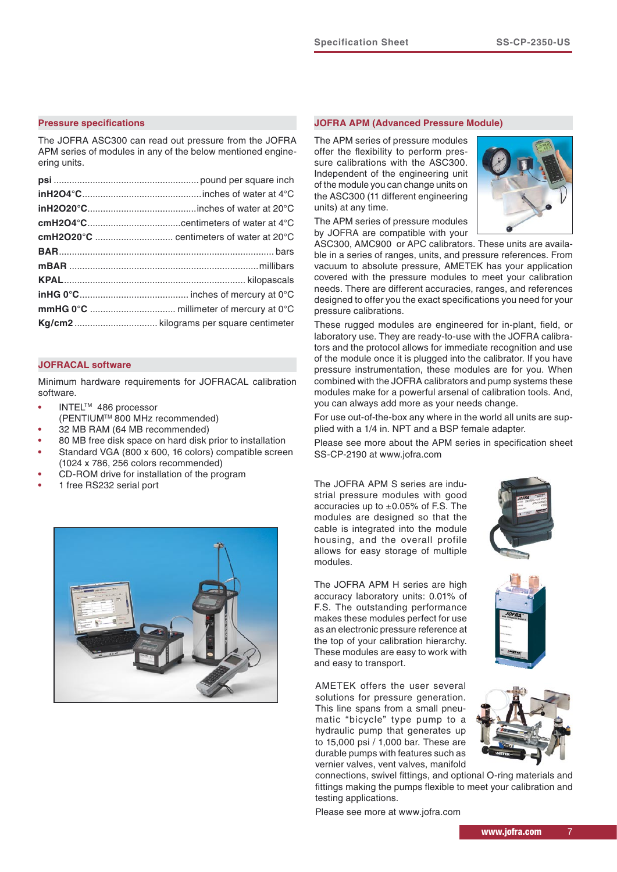#### **Pressure specifications**

The JOFRA ASC300 can read out pressure from the JOFRA APM series of modules in any of the below mentioned engineering units.

#### **JOFRACAL software**

Minimum hardware requirements for JOFRACAL calibration software.

- **•** INTELTM 486 processor
- (PENTIUMTM 800 MHz recommended)
- **•** 32 MB RAM (64 MB recommended)
- **•** 80 MB free disk space on hard disk prior to installation
- **•** Standard VGA (800 x 600, 16 colors) compatible screen (1024 x 786, 256 colors recommended)
- **•** CD-ROM drive for installation of the program
- **•** 1 free RS232 serial port



#### **JOFRA APM (Advanced Pressure Module)**

The APM series of pressure modules offer the flexibility to perform pressure calibrations with the ASC300. Independent of the engineering unit of the module you can change units on the ASC300 (11 different engineering units) at any time.

The APM series of pressure modules by JOFRA are compatible with your



ASC300, AMC900 or APC calibrators. These units are available in a series of ranges, units, and pressure references. From vacuum to absolute pressure, AMETEK has your application covered with the pressure modules to meet your calibration needs. There are different accuracies, ranges, and references designed to offer you the exact specifications you need for your pressure calibrations.

These rugged modules are engineered for in-plant, field, or laboratory use. They are ready-to-use with the JOFRA calibrators and the protocol allows for immediate recognition and use of the module once it is plugged into the calibrator. If you have pressure instrumentation, these modules are for you. When combined with the JOFRA calibrators and pump systems these modules make for a powerful arsenal of calibration tools. And, you can always add more as your needs change.

For use out-of-the-box any where in the world all units are supplied with a 1/4 in. NPT and a BSP female adapter.

Please see more about the APM series in specification sheet SS-CP-2190 at www.jofra.com

The JOFRA APM S series are industrial pressure modules with good accuracies up to  $\pm 0.05\%$  of F.S. The modules are designed so that the cable is integrated into the module housing, and the overall profile allows for easy storage of multiple modules.

The JOFRA APM H series are high accuracy laboratory units: 0.01% of F.S. The outstanding performance makes these modules perfect for use as an electronic pressure reference at the top of your calibration hierarchy. These modules are easy to work with and easy to transport.

AMETEK offers the user several solutions for pressure generation. This line spans from a small pneumatic "bicycle" type pump to a hydraulic pump that generates up to 15,000 psi / 1,000 bar. These are durable pumps with features such as vernier valves, vent valves, manifold

connections, swivel fittings, and optional O-ring materials and fittings making the pumps flexible to meet your calibration and testing applications.

Please see more at www.jofra.com